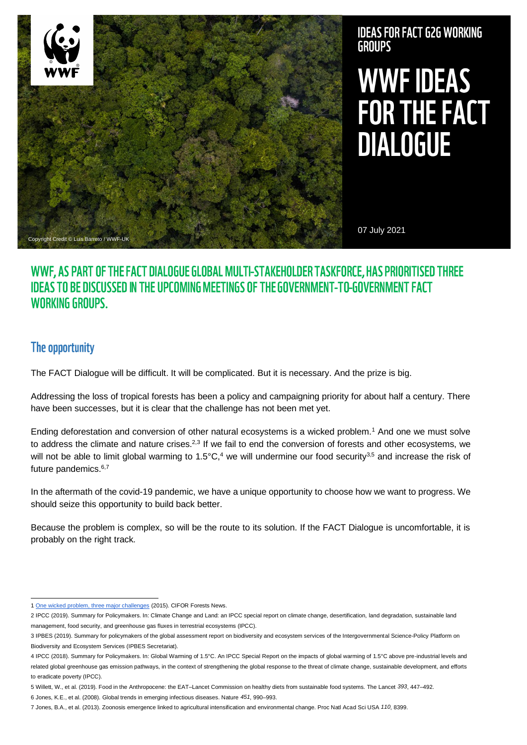

## **IDEAS FOR FACT G2G WORKING GROUPS**

# **WWF IDEAS** FOR THE FACT **DIALOGUE**

07 July 2021

## WWF, AS PART OF THE FACT DIALOGUE GLOBAL MULTI-STAKEHOLDER TASKFORCE, HAS PRIORITISED THREE **IDEAS TO BE DISCUSSED IN THE UPCOMING MEETINGS OF THE GOVERNMENT-TO-GOVERNMENT FACT WORKING GROUPS.**

## The opportunity

The FACT Dialogue will be difficult. It will be complicated. But it is necessary. And the prize is big.

Addressing the loss of tropical forests has been a policy and campaigning priority for about half a century. There have been successes, but it is clear that the challenge has not been met yet.

Ending deforestation and conversion of other natural ecosystems is a wicked problem.<sup>1</sup> And one we must solve to address the climate and nature crises. $2,3$  If we fail to end the conversion of forests and other ecosystems, we will not be able to limit global warming to 1.5°C,<sup>4</sup> we will undermine our food security<sup>3,5</sup> and increase the risk of future pandemics.6,7

In the aftermath of the covid-19 pandemic, we have a unique opportunity to choose how we want to progress. We should seize this opportunity to build back better.

Because the problem is complex, so will be the route to its solution. If the FACT Dialogue is uncomfortable, it is probably on the right track.

<sup>1</sup> [One wicked problem, three major challenges](https://forestsnews.cifor.org/33868/zero-deforestation-special-one-wicked-problem-three-major-challenges?fnl=) (2015). CIFOR Forests News.

<sup>2</sup> IPCC (2019). Summary for Policymakers. In: Climate Change and Land: an IPCC special report on climate change, desertification, land degradation, sustainable land management, food security, and greenhouse gas fluxes in terrestrial ecosystems (IPCC).

<sup>3</sup> IPBES (2019). Summary for policymakers of the global assessment report on biodiversity and ecosystem services of the Intergovernmental Science-Policy Platform on Biodiversity and Ecosystem Services (IPBES Secretariat).

<sup>4</sup> IPCC (2018). Summary for Policymakers. In: Global Warming of 1.5°C. An IPCC Special Report on the impacts of global warming of 1.5°C above pre-industrial levels and related global greenhouse gas emission pathways, in the context of strengthening the global response to the threat of climate change, sustainable development, and efforts to eradicate poverty (IPCC).

<sup>5</sup> Willett, W., et al. (2019). Food in the Anthropocene: the EAT–Lancet Commission on healthy diets from sustainable food systems. The Lancet *393*, 447–492.

<sup>6</sup> Jones, K.E., et al. (2008). Global trends in emerging infectious diseases. Nature *451*, 990–993.

<sup>7</sup> Jones, B.A., et al. (2013). Zoonosis emergence linked to agricultural intensification and environmental change. Proc Natl Acad Sci USA *110*, 8399.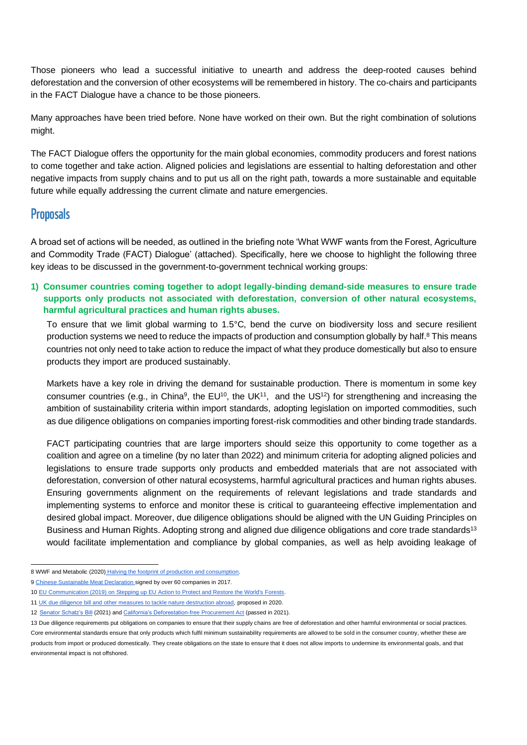Those pioneers who lead a successful initiative to unearth and address the deep-rooted causes behind deforestation and the conversion of other ecosystems will be remembered in history. The co-chairs and participants in the FACT Dialogue have a chance to be those pioneers.

Many approaches have been tried before. None have worked on their own. But the right combination of solutions might.

The FACT Dialogue offers the opportunity for the main global economies, commodity producers and forest nations to come together and take action. Aligned policies and legislations are essential to halting deforestation and other negative impacts from supply chains and to put us all on the right path, towards a more sustainable and equitable future while equally addressing the current climate and nature emergencies.

### **Proposals**

A broad set of actions will be needed, as outlined in the briefing note 'What WWF wants from the Forest, Agriculture and Commodity Trade (FACT) Dialogue' (attached). Specifically, here we choose to highlight the following three key ideas to be discussed in the government-to-government technical working groups:

**1) Consumer countries coming together to adopt legally-binding demand-side measures to ensure trade supports only products not associated with deforestation, conversion of other natural ecosystems, harmful agricultural practices and human rights abuses.**

To ensure that we limit global warming to 1.5°C, bend the curve on biodiversity loss and secure resilient production systems we need to reduce the impacts of production and consumption globally by half.<sup>8</sup> This means countries not only need to take action to reduce the impact of what they produce domestically but also to ensure products they import are produced sustainably.

Markets have a key role in driving the demand for sustainable production. There is momentum in some key consumer countries (e.g., in China<sup>9</sup>, the EU<sup>10</sup>, the UK<sup>11</sup>, and the US<sup>12</sup>) for strengthening and increasing the ambition of sustainability criteria within import standards, adopting legislation on imported commodities, such as due diligence obligations on companies importing forest-risk commodities and other binding trade standards.

FACT participating countries that are large importers should seize this opportunity to come together as a coalition and agree on a timeline (by no later than 2022) and minimum criteria for adopting aligned policies and legislations to ensure trade supports only products and embedded materials that are not associated with deforestation, conversion of other natural ecosystems, harmful agricultural practices and human rights abuses. Ensuring governments alignment on the requirements of relevant legislations and trade standards and implementing systems to enforce and monitor these is critical to guaranteeing effective implementation and desired global impact. Moreover, due diligence obligations should be aligned with the UN Guiding Principles on Business and Human Rights. Adopting strong and aligned due diligence obligations and core trade standards<sup>13</sup> would facilitate implementation and compliance by global companies, as well as help avoiding leakage of

<sup>8</sup> WWF and Metabolic (2020) [Halving the footprint of production and consumption.](https://wwfeu.awsassets.panda.org/downloads/halvingfootprint_report_wwf_metabolic.pdf)

<sup>9</sup> [Chinese Sustainable Meat Declaration s](https://www.wwf.org.br/?61882/China-Meat-Association-And-Its-64-Chinese-Company-Members-Jointly-Announce-Chinese-Sustainable-Meat-Declaration-with-WWF)igned by over 60 companies in 2017.

<sup>10</sup> [EU Communication \(2019\) on Stepping up EU Action to Protect and Restore the World's Forests.](https://ec.europa.eu/environment/forests/eu_comm_2019.htm)

<sup>11</sup> [UK due diligence bill and other measures to tackle nature destruction abroad,](https://www.gov.uk/government/news/government-sets-out-world-leading-new-measures-to-protect-rainforests) proposed in 2020.

<sup>12</sup> [Senator Schatz's Bill](https://eia-global.org/reports/20210303-tackling-global-deforestation-letter) (2021) an[d California's Deforestation-free Procurement Act](https://leginfo.legislature.ca.gov/faces/billTextClient.xhtml?bill_id=202120220AB416) (passed in 2021).

<sup>13</sup> Due diligence requirements put obligations on companies to ensure that their supply chains are free of deforestation and other harmful environmental or social practices. Core environmental standards ensure that only products which fulfil minimum sustainability requirements are allowed to be sold in the consumer country, whether these are products from import or produced domestically. They create obligations on the state to ensure that it does not allow imports to undermine its environmental goals, and that environmental impact is not offshored.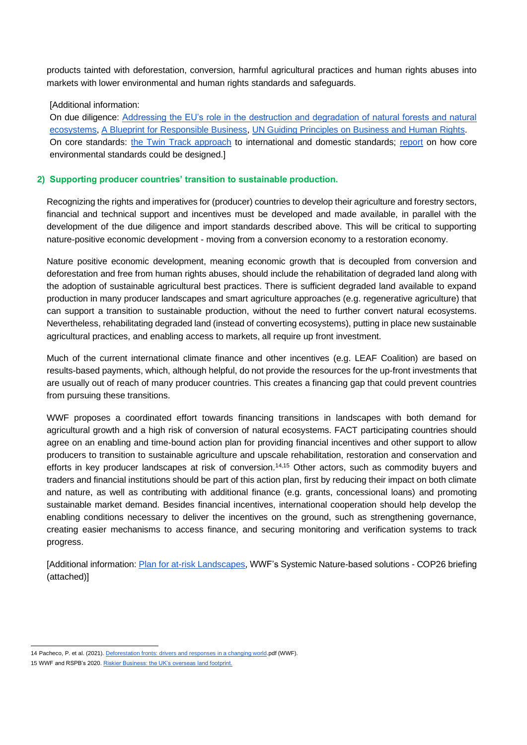products tainted with deforestation, conversion, harmful agricultural practices and human rights abuses into markets with lower environmental and human rights standards and safeguards.

#### [Additional information:

On due diligence: [Addressing the EU's role in the destruction and degradation of natural forests and natural](https://wwfeu.awsassets.panda.org/downloads/11022021wwf_position_8_asks___final_version.pdf)  [ecosystems,](https://wwfeu.awsassets.panda.org/downloads/11022021wwf_position_8_asks___final_version.pdf) [A Blueprint for Responsible Business,](https://www.wwf.org.uk/sites/default/files/2020-09/WW2006-01%20WWF%20report%20setting%20v12%20FINAL.pdf) [UN Guiding Principles on Business and Human Rights.](https://www.ohchr.org/Documents/Publications/GuidingPrinciplesBusinessHR_EN.pdf) On core standards: [the Twin Track approach](https://www.wwf.org.uk/sites/default/files/2021-03/WWF%20Parliamentary%20Briefing_twin%20track%20approach.pdf) to international and domestic standards; [report](https://www.clientearth.org/latest/documents/environmental-standards-for-uk-agriculture-in-a-new-trade-policy-framework/) on how core environmental standards could be designed.]

#### **2) Supporting producer countries' transition to sustainable production.**

Recognizing the rights and imperatives for (producer) countries to develop their agriculture and forestry sectors, financial and technical support and incentives must be developed and made available, in parallel with the development of the due diligence and import standards described above. This will be critical to supporting nature-positive economic development - moving from a conversion economy to a restoration economy.

Nature positive economic development, meaning economic growth that is decoupled from conversion and deforestation and free from human rights abuses, should include the rehabilitation of degraded land along with the adoption of sustainable agricultural best practices. There is sufficient degraded land available to expand production in many producer landscapes and smart agriculture approaches (e.g. regenerative agriculture) that can support a transition to sustainable production, without the need to further convert natural ecosystems. Nevertheless, rehabilitating degraded land (instead of converting ecosystems), putting in place new sustainable agricultural practices, and enabling access to markets, all require up front investment.

Much of the current international climate finance and other incentives (e.g. LEAF Coalition) are based on results-based payments, which, although helpful, do not provide the resources for the up-front investments that are usually out of reach of many producer countries. This creates a financing gap that could prevent countries from pursuing these transitions.

WWF proposes a coordinated effort towards financing transitions in landscapes with both demand for agricultural growth and a high risk of conversion of natural ecosystems. FACT participating countries should agree on an enabling and time-bound action plan for providing financial incentives and other support to allow producers to transition to sustainable agriculture and upscale rehabilitation, restoration and conservation and efforts in key producer landscapes at risk of conversion.14,15 Other actors, such as commodity buyers and traders and financial institutions should be part of this action plan, first by reducing their impact on both climate and nature, as well as contributing with additional finance (e.g. grants, concessional loans) and promoting sustainable market demand. Besides financial incentives, international cooperation should help develop the enabling conditions necessary to deliver the incentives on the ground, such as strengthening governance, creating easier mechanisms to access finance, and securing monitoring and verification systems to track progress.

[Additional information[: Plan for at-risk Landscapes,](https://www.wwf.org.uk/sites/default/files/2021-05/WWF_UK_2021_Plan_at_risk%20Landscapes.pdf) WWF's Systemic Nature-based solutions - COP26 briefing (attached)]

<sup>14</sup> Pacheco, P. et al. (2021)[. Deforestation fronts: drivers and responses in a changing world.p](https://wwfint.awsassets.panda.org/downloads/deforestation_fronts___drivers_and_responses_in_a_changing_world___full_report_1.pdf)df (WWF).

<sup>15</sup> WWF and RSPB's 2020[. Riskier Business: the UK's overseas land footprint.](https://www.wwf.org.uk/riskybusiness)